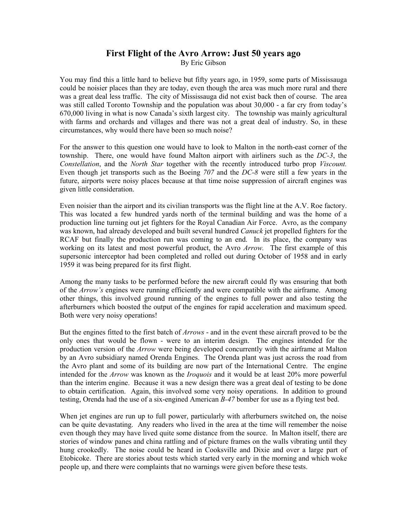## **First Flight of the Avro Arrow: Just 50 years ago**  By Eric Gibson

You may find this a little hard to believe but fifty years ago, in 1959, some parts of Mississauga could be noisier places than they are today, even though the area was much more rural and there was a great deal less traffic. The city of Mississauga did not exist back then of course. The area was still called Toronto Township and the population was about 30,000 - a far cry from today's 670,000 living in what is now Canada's sixth largest city. The township was mainly agricultural with farms and orchards and villages and there was not a great deal of industry. So, in these circumstances, why would there have been so much noise?

For the answer to this question one would have to look to Malton in the north-east corner of the township. There, one would have found Malton airport with airliners such as the *DC-3*, the *Constellation*, and the *North Star* together with the recently introduced turbo prop *Viscount.* Even though jet transports such as the Boeing *707* and the *DC-8* were still a few years in the future, airports were noisy places because at that time noise suppression of aircraft engines was given little consideration.

Even noisier than the airport and its civilian transports was the flight line at the A.V. Roe factory. This was located a few hundred yards north of the terminal building and was the home of a production line turning out jet fighters for the Royal Canadian Air Force. Avro, as the company was known, had already developed and built several hundred *Canuck* jet propelled fighters for the RCAF but finally the production run was coming to an end. In its place, the company was working on its latest and most powerful product, the Avro *Arrow.* The first example of this supersonic interceptor had been completed and rolled out during October of 1958 and in early 1959 it was being prepared for its first flight.

Among the many tasks to be performed before the new aircraft could fly was ensuring that both of the *Arrow's* engines were running efficiently and were compatible with the airframe. Among other things, this involved ground running of the engines to full power and also testing the afterburners which boosted the output of the engines for rapid acceleration and maximum speed. Both were very noisy operations!

But the engines fitted to the first batch of *Arrows* - and in the event these aircraft proved to be the only ones that would be flown - were to an interim design. The engines intended for the production version of the *Arrow* were being developed concurrently with the airframe at Malton by an Avro subsidiary named Orenda Engines. The Orenda plant was just across the road from the Avro plant and some of its building are now part of the International Centre. The engine intended for the *Arrow* was known as the *Iroquois* and it would be at least 20% more powerful than the interim engine. Because it was a new design there was a great deal of testing to be done to obtain certification. Again, this involved some very noisy operations. In addition to ground testing, Orenda had the use of a six-engined American *B-47* bomber for use as a flying test bed.

When jet engines are run up to full power, particularly with afterburners switched on, the noise can be quite devastating. Any readers who lived in the area at the time will remember the noise even though they may have lived quite some distance from the source. In Malton itself, there are stories of window panes and china rattling and of picture frames on the walls vibrating until they hung crookedly. The noise could be heard in Cooksville and Dixie and over a large part of Etobicoke. There are stories about tests which started very early in the morning and which woke people up, and there were complaints that no warnings were given before these tests.